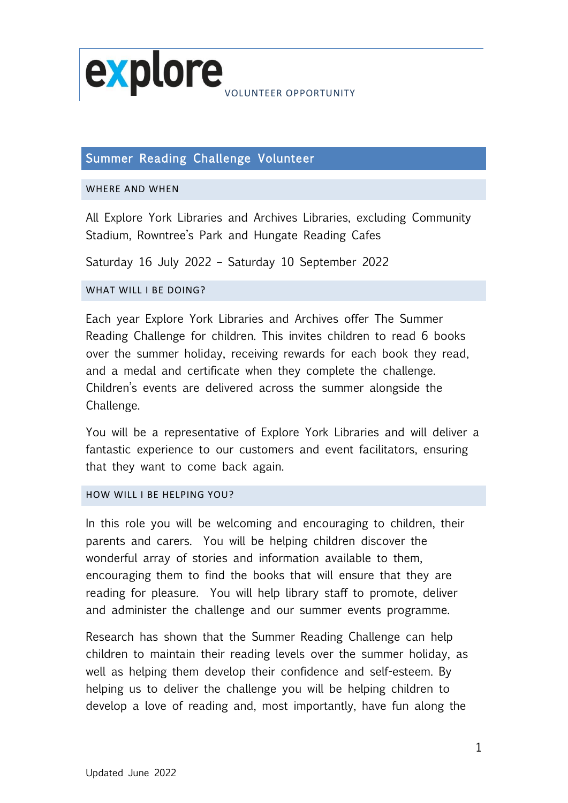

# Summer Reading Challenge Volunteer

#### WHERE AND WHEN

All Explore York Libraries and Archives Libraries, excluding Community Stadium, Rowntree's Park and Hungate Reading Cafes

Saturday 16 July 2022 – Saturday 10 September 2022

## WHAT WILL LBE DOING?

Each year Explore York Libraries and Archives offer The Summer Reading Challenge for children. This invites children to read 6 books over the summer holiday, receiving rewards for each book they read, and a medal and certificate when they complete the challenge. Children's events are delivered across the summer alongside the Challenge.

You will be a representative of Explore York Libraries and will deliver a fantastic experience to our customers and event facilitators, ensuring that they want to come back again.

### HOW WILL I BE HELPING YOU?

In this role you will be welcoming and encouraging to children, their parents and carers. You will be helping children discover the wonderful array of stories and information available to them, encouraging them to find the books that will ensure that they are reading for pleasure. You will help library staff to promote, deliver and administer the challenge and our summer events programme.

Research has shown that the Summer Reading Challenge can help children to maintain their reading levels over the summer holiday, as well as helping them develop their confidence and self-esteem. By helping us to deliver the challenge you will be helping children to develop a love of reading and, most importantly, have fun along the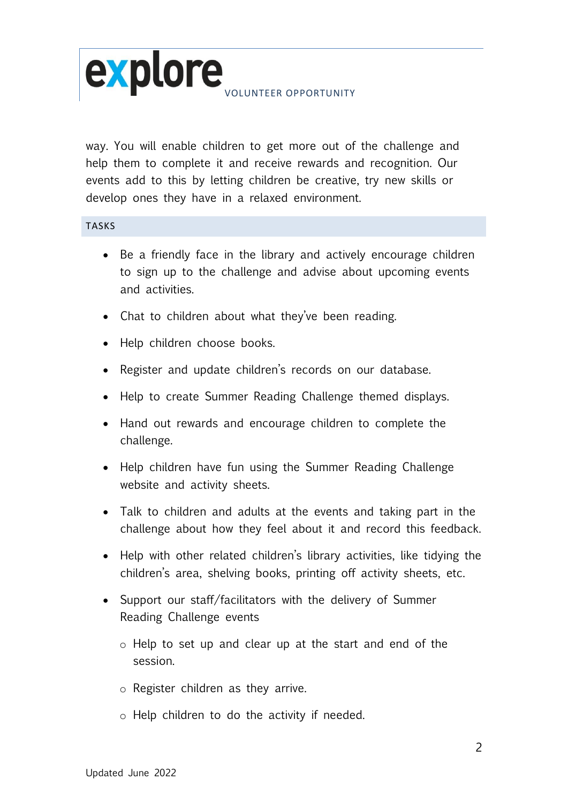

way. You will enable children to get more out of the challenge and help them to complete it and receive rewards and recognition. Our events add to this by letting children be creative, try new skills or develop ones they have in a relaxed environment.

## TASKS

- Be a friendly face in the library and actively encourage children to sign up to the challenge and advise about upcoming events and activities.
- Chat to children about what they've been reading.
- Help children choose books.
- Register and update children's records on our database.
- Help to create Summer Reading Challenge themed displays.
- Hand out rewards and encourage children to complete the challenge.
- Help children have fun using the Summer Reading Challenge website and activity sheets.
- Talk to children and adults at the events and taking part in the challenge about how they feel about it and record this feedback.
- Help with other related children's library activities, like tidying the children's area, shelving books, printing off activity sheets, etc.
- Support our staff/facilitators with the delivery of Summer Reading Challenge events
	- o Help to set up and clear up at the start and end of the session.
	- o Register children as they arrive.
	- o Help children to do the activity if needed.